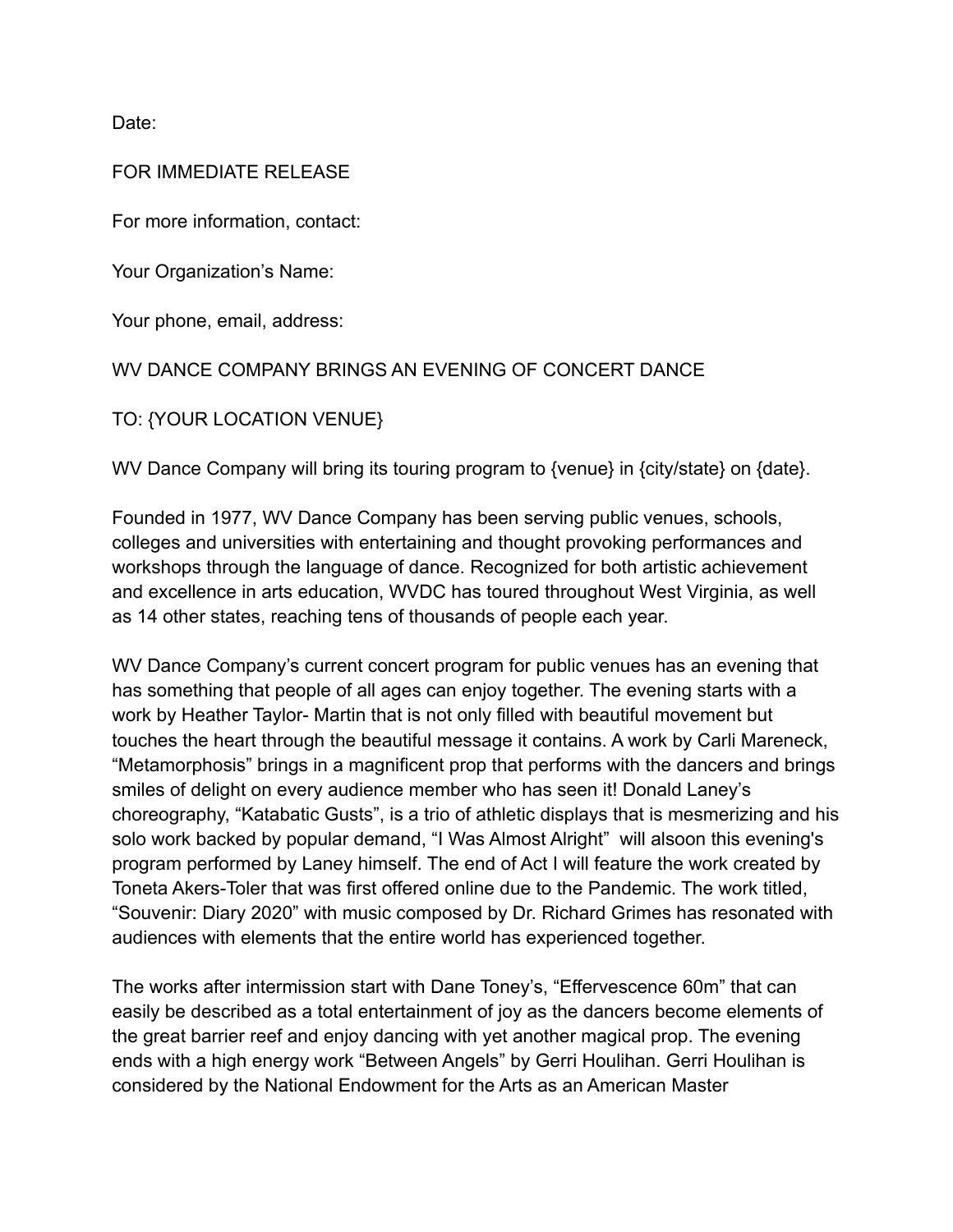Date:

## FOR IMMEDIATE RELEASE

For more information, contact:

Your Organization's Name:

Your phone, email, address:

## WV DANCE COMPANY BRINGS AN EVENING OF CONCERT DANCE

TO: {YOUR LOCATION VENUE}

WV Dance Company will bring its touring program to {venue} in {city/state} on {date}.

Founded in 1977, WV Dance Company has been serving public venues, schools, colleges and universities with entertaining and thought provoking performances and workshops through the language of dance. Recognized for both artistic achievement and excellence in arts education, WVDC has toured throughout West Virginia, as well as 14 other states, reaching tens of thousands of people each year.

WV Dance Company's current concert program for public venues has an evening that has something that people of all ages can enjoy together. The evening starts with a work by Heather Taylor- Martin that is not only filled with beautiful movement but touches the heart through the beautiful message it contains. A work by Carli Mareneck, "Metamorphosis" brings in a magnificent prop that performs with the dancers and brings smiles of delight on every audience member who has seen it! Donald Laney's choreography, "Katabatic Gusts", is a trio of athletic displays that is mesmerizing and his solo work backed by popular demand, "I Was Almost Alright" will alsoon this evening's program performed by Laney himself. The end of Act I will feature the work created by Toneta Akers-Toler that was first offered online due to the Pandemic. The work titled, "Souvenir: Diary 2020" with music composed by Dr. Richard Grimes has resonated with audiences with elements that the entire world has experienced together.

The works after intermission start with Dane Toney's, "Effervescence 60m" that can easily be described as a total entertainment of joy as the dancers become elements of the great barrier reef and enjoy dancing with yet another magical prop. The evening ends with a high energy work "Between Angels" by Gerri Houlihan. Gerri Houlihan is considered by the National Endowment for the Arts as an American Master